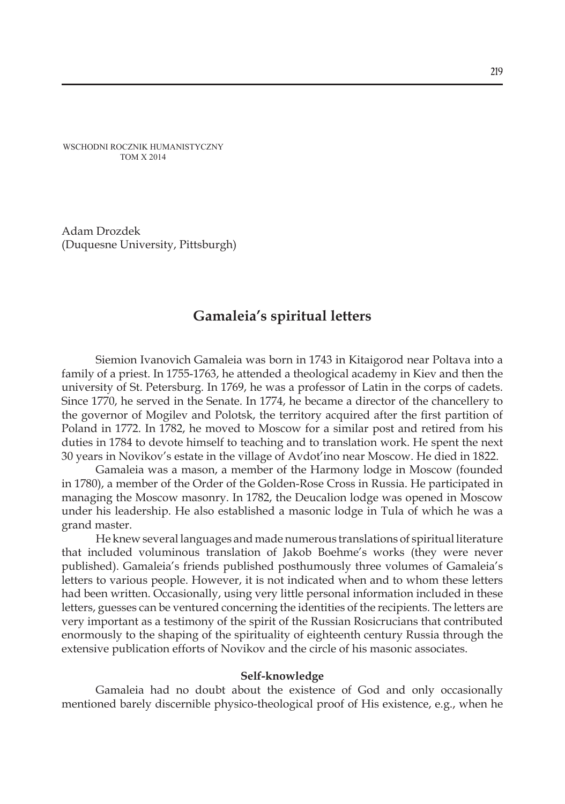WSCHODNI ROCZNIK HUMANISTYCZNY TOM X 2014

Adam Drozdek (Duquesne University, Pittsburgh)

# **Gamaleia's spiritual letters**

Siemion Ivanovich Gamaleia was born in 1743 in Kitaigorod near Poltava into a family of a priest. In 1755-1763, he attended a theological academy in Kiev and then the university of St. Petersburg. In 1769, he was a professor of Latin in the corps of cadets. Since 1770, he served in the Senate. In 1774, he became a director of the chancellery to the governor of Mogilev and Polotsk, the territory acquired after the first partition of Poland in 1772. In 1782, he moved to Moscow for a similar post and retired from his duties in 1784 to devote himself to teaching and to translation work. He spent the next 30 years in Novikov's estate in the village of Avdot'ino near Moscow. He died in 1822.

Gamaleia was a mason, a member of the Harmony lodge in Moscow (founded in 1780), a member of the Order of the Golden-Rose Cross in Russia. He participated in managing the Moscow masonry. In 1782, the Deucalion lodge was opened in Moscow under his leadership. He also established a masonic lodge in Tula of which he was a grand master.

He knew several languages and made numerous translations of spiritual literature that included voluminous translation of Jakob Boehme's works (they were never published). Gamaleia's friends published posthumously three volumes of Gamaleia's letters to various people. However, it is not indicated when and to whom these letters had been written. Occasionally, using very little personal information included in these letters, guesses can be ventured concerning the identities of the recipients. The letters are very important as a testimony of the spirit of the Russian Rosicrucians that contributed enormously to the shaping of the spirituality of eighteenth century Russia through the extensive publication efforts of Novikov and the circle of his masonic associates.

#### **Self-knowledge**

Gamaleia had no doubt about the existence of God and only occasionally mentioned barely discernible physico-theological proof of His existence, e.g., when he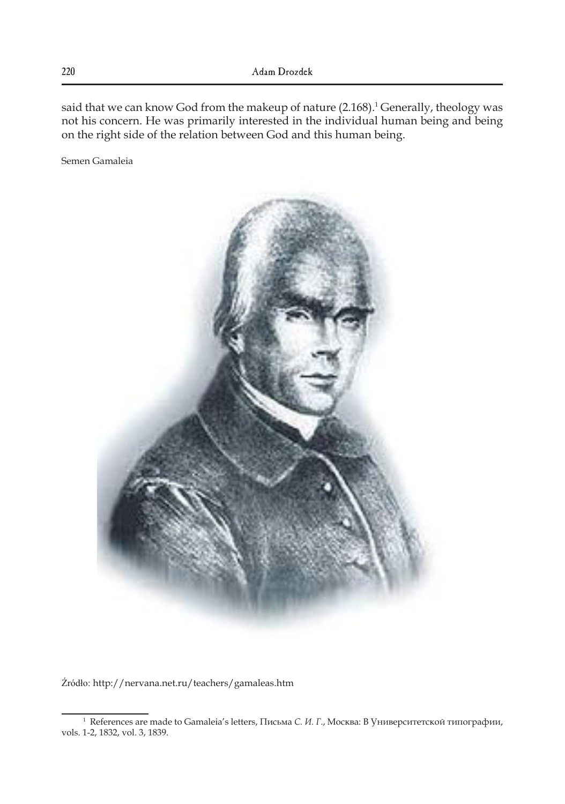said that we can know God from the makeup of nature (2.168). $^1$  Generally, theology was not his concern. He was primarily interested in the individual human being and being on the right side of the relation between God and this human being.

Semen Gamaleia



Źródło: http://nervana.net.ru/teachers/gamaleas.htm

<sup>1</sup> References are made to Gamaleia's letters, Письма *С. И. Г*., Москва: В Университетской типографии, vols. 1-2, 1832, vol. 3, 1839.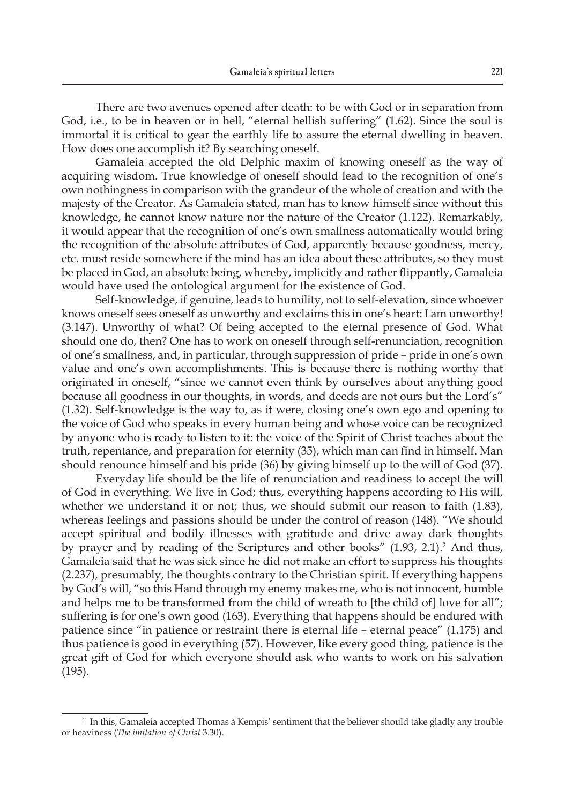There are two avenues opened after death: to be with God or in separation from God, i.e., to be in heaven or in hell, "eternal hellish suffering" (1.62). Since the soul is immortal it is critical to gear the earthly life to assure the eternal dwelling in heaven. How does one accomplish it? By searching oneself.

Gamaleia accepted the old Delphic maxim of knowing oneself as the way of acquiring wisdom. True knowledge of oneself should lead to the recognition of one's own nothingness in comparison with the grandeur of the whole of creation and with the majesty of the Creator. As Gamaleia stated, man has to know himself since without this knowledge, he cannot know nature nor the nature of the Creator (1.122). Remarkably, it would appear that the recognition of one's own smallness automatically would bring the recognition of the absolute attributes of God, apparently because goodness, mercy, etc. must reside somewhere if the mind has an idea about these attributes, so they must be placed in God, an absolute being, whereby, implicitly and rather flippantly, Gamaleia would have used the ontological argument for the existence of God.

Self-knowledge, if genuine, leads to humility, not to self-elevation, since whoever knows oneself sees oneself as unworthy and exclaims this in one's heart: I am unworthy! (3.147). Unworthy of what? Of being accepted to the eternal presence of God. What should one do, then? One has to work on oneself through self-renunciation, recognition of one's smallness, and, in particular, through suppression of pride – pride in one's own value and one's own accomplishments. This is because there is nothing worthy that originated in oneself, "since we cannot even think by ourselves about anything good because all goodness in our thoughts, in words, and deeds are not ours but the Lord's" (1.32). Self-knowledge is the way to, as it were, closing one's own ego and opening to the voice of God who speaks in every human being and whose voice can be recognized by anyone who is ready to listen to it: the voice of the Spirit of Christ teaches about the truth, repentance, and preparation for eternity (35), which man can find in himself. Man should renounce himself and his pride (36) by giving himself up to the will of God (37).

Everyday life should be the life of renunciation and readiness to accept the will of God in everything. We live in God; thus, everything happens according to His will, whether we understand it or not; thus, we should submit our reason to faith (1.83), whereas feelings and passions should be under the control of reason (148). "We should accept spiritual and bodily illnesses with gratitude and drive away dark thoughts by prayer and by reading of the Scriptures and other books"  $(1.93, 2.1).<sup>2</sup>$  And thus, Gamaleia said that he was sick since he did not make an effort to suppress his thoughts (2.237), presumably, the thoughts contrary to the Christian spirit. If everything happens by God's will, "so this Hand through my enemy makes me, who is not innocent, humble and helps me to be transformed from the child of wreath to [the child of] love for all"; suffering is for one's own good (163). Everything that happens should be endured with patience since "in patience or restraint there is eternal life – eternal peace" (1.175) and thus patience is good in everything (57). However, like every good thing, patience is the great gift of God for which everyone should ask who wants to work on his salvation (195).

<sup>2</sup> In this, Gamaleia accepted Thomas à Kempis' sentiment that the believer should take gladly any trouble or heaviness (*The imitation of Christ* 3.30).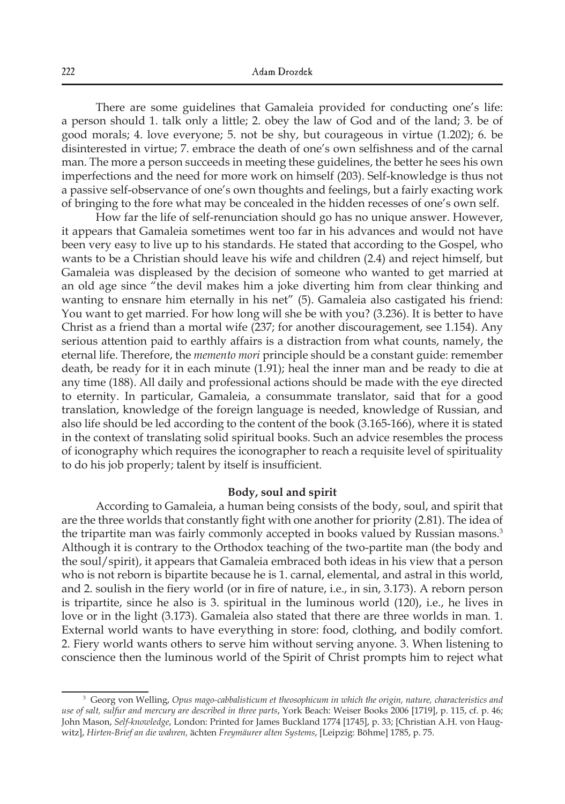There are some guidelines that Gamaleia provided for conducting one's life: a person should 1. talk only a little; 2. obey the law of God and of the land; 3. be of good morals; 4. love everyone; 5. not be shy, but courageous in virtue (1.202); 6. be disinterested in virtue; 7. embrace the death of one's own selfishness and of the carnal man. The more a person succeeds in meeting these guidelines, the better he sees his own imperfections and the need for more work on himself (203). Self-knowledge is thus not a passive self-observance of one's own thoughts and feelings, but a fairly exacting work of bringing to the fore what may be concealed in the hidden recesses of one's own self.

How far the life of self-renunciation should go has no unique answer. However, it appears that Gamaleia sometimes went too far in his advances and would not have been very easy to live up to his standards. He stated that according to the Gospel, who wants to be a Christian should leave his wife and children (2.4) and reject himself, but Gamaleia was displeased by the decision of someone who wanted to get married at an old age since "the devil makes him a joke diverting him from clear thinking and wanting to ensnare him eternally in his net" (5). Gamaleia also castigated his friend: You want to get married. For how long will she be with you? (3.236). It is better to have Christ as a friend than a mortal wife (237; for another discouragement, see 1.154). Any serious attention paid to earthly affairs is a distraction from what counts, namely, the eternal life. Therefore, the *memento mori* principle should be a constant guide: remember death, be ready for it in each minute (1.91); heal the inner man and be ready to die at any time (188). All daily and professional actions should be made with the eye directed to eternity. In particular, Gamaleia, a consummate translator, said that for a good translation, knowledge of the foreign language is needed, knowledge of Russian, and also life should be led according to the content of the book (3.165-166), where it is stated in the context of translating solid spiritual books. Such an advice resembles the process of iconography which requires the iconographer to reach a requisite level of spirituality to do his job properly; talent by itself is insufficient.

#### **Body, soul and spirit**

According to Gamaleia, a human being consists of the body, soul, and spirit that are the three worlds that constantly fight with one another for priority (2.81). The idea of the tripartite man was fairly commonly accepted in books valued by Russian masons.<sup>3</sup> Although it is contrary to the Orthodox teaching of the two-partite man (the body and the soul/spirit), it appears that Gamaleia embraced both ideas in his view that a person who is not reborn is bipartite because he is 1. carnal, elemental, and astral in this world, and 2. soulish in the fiery world (or in fire of nature, i.e., in sin, 3.173). A reborn person is tripartite, since he also is 3. spiritual in the luminous world (120), i.e., he lives in love or in the light (3.173). Gamaleia also stated that there are three worlds in man. 1. External world wants to have everything in store: food, clothing, and bodily comfort. 2. Fiery world wants others to serve him without serving anyone. 3. When listening to conscience then the luminous world of the Spirit of Christ prompts him to reject what

<sup>3</sup> Georg von Welling, *Opus mago-cabbalisticum et theosophicum in which the origin, nature, characteristics and use of salt, sulfur and mercury are described in three parts*, York Beach: Weiser Books 2006 [1719], p. 115, cf. p. 46; John Mason, *Self-knowledge*, London: Printed for James Buckland 1774 [1745], p. 33; [Christian A.H. von Haugwitz], *Hirten-Brief an die wahren,* ächten *Freymäurer alten Systems*, [Leipzig: Böhme] 1785, p. 75.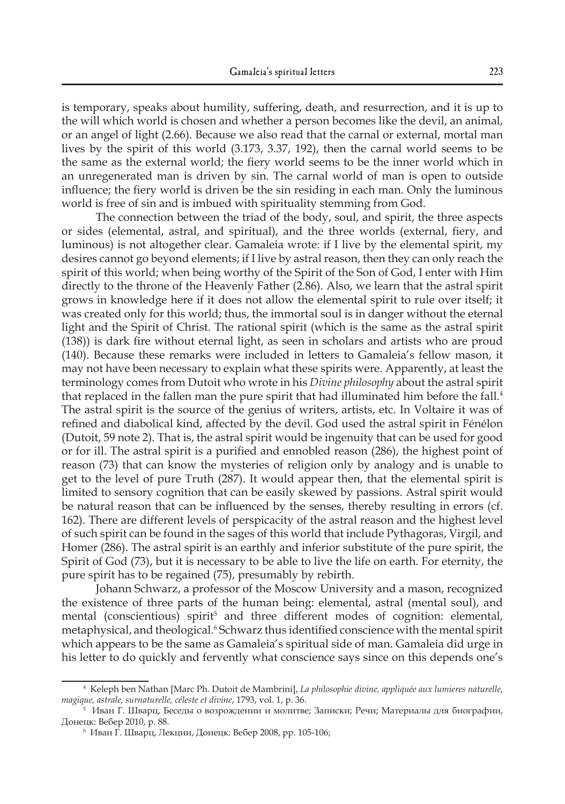is temporary, speaks about humility, suffering, death, and resurrection, and it is up to the will which world is chosen and whether a person becomes like the devil, an animal, or an angel of light (2.66). Because we also read that the carnal or external, mortal man lives by the spirit of this world (3.173, 3.37, 192), then the carnal world seems to be the same as the external world; the fiery world seems to be the inner world which in an unregenerated man is driven by sin. The carnal world of man is open to outside influence; the fiery world is driven be the sin residing in each man. Only the luminous world is free of sin and is imbued with spirituality stemming from God.

The connection between the triad of the body, soul, and spirit, the three aspects or sides (elemental, astral, and spiritual), and the three worlds (external, fiery, and luminous) is not altogether clear. Gamaleia wrote: if I live by the elemental spirit, my desires cannot go beyond elements; if I live by astral reason, then they can only reach the spirit of this world; when being worthy of the Spirit of the Son of God, I enter with Him directly to the throne of the Heavenly Father (2.86). Also, we learn that the astral spirit grows in knowledge here if it does not allow the elemental spirit to rule over itself; it was created only for this world; thus, the immortal soul is in danger without the eternal light and the Spirit of Christ. The rational spirit (which is the same as the astral spirit (138)) is dark fire without eternal light, as seen in scholars and artists who are proud (140). Because these remarks were included in letters to Gamaleia's fellow mason, it may not have been necessary to explain what these spirits were. Apparently, at least the terminology comes from Dutoit who wrote in his *Divine philosophy* about the astral spirit that replaced in the fallen man the pure spirit that had illuminated him before the fall.<sup>4</sup> The astral spirit is the source of the genius of writers, artists, etc. In Voltaire it was of refined and diabolical kind, affected by the devil. God used the astral spirit in Fénélon (Dutoit, 59 note 2). That is, the astral spirit would be ingenuity that can be used for good or for ill. The astral spirit is a purified and ennobled reason (286), the highest point of reason (73) that can know the mysteries of religion only by analogy and is unable to get to the level of pure Truth (287). It would appear then, that the elemental spirit is limited to sensory cognition that can be easily skewed by passions. Astral spirit would be natural reason that can be influenced by the senses, thereby resulting in errors (cf. 162). There are different levels of perspicacity of the astral reason and the highest level of such spirit can be found in the sages of this world that include Pythagoras, Virgil, and Homer (286). The astral spirit is an earthly and inferior substitute of the pure spirit, the Spirit of God (73), but it is necessary to be able to live the life on earth. For eternity, the pure spirit has to be regained (75), presumably by rebirth.

Johann Schwarz, a professor of the Moscow University and a mason, recognized the existence of three parts of the human being: elemental, astral (mental soul), and mental (conscientious) spirit<sup>5</sup> and three different modes of cognition: elemental, metaphysical, and theological.<sup>6</sup> Schwarz thus identified conscience with the mental spirit which appears to be the same as Gamaleia's spiritual side of man. Gamaleia did urge in his letter to do quickly and fervently what conscience says since on this depends one's

<sup>4</sup> Keleph ben Nathan [Marc Ph. Dutoit de Mambrini], *La philosophie divine, appliquée aux lumieres naturelle, magique, astrale, surnaturelle, céleste et divine*, 1793, vol. 1, p. 36.

<sup>5</sup> Иван Г. Шварц, Беседы о возрождении и молитве; Записки; Речи; Материалы для биографии, Донецк: Вебер 2010, p. 88.

<sup>6</sup> Иван Г. Шварц, Лекции, Донецк: Вебер 2008, pp. 105-106;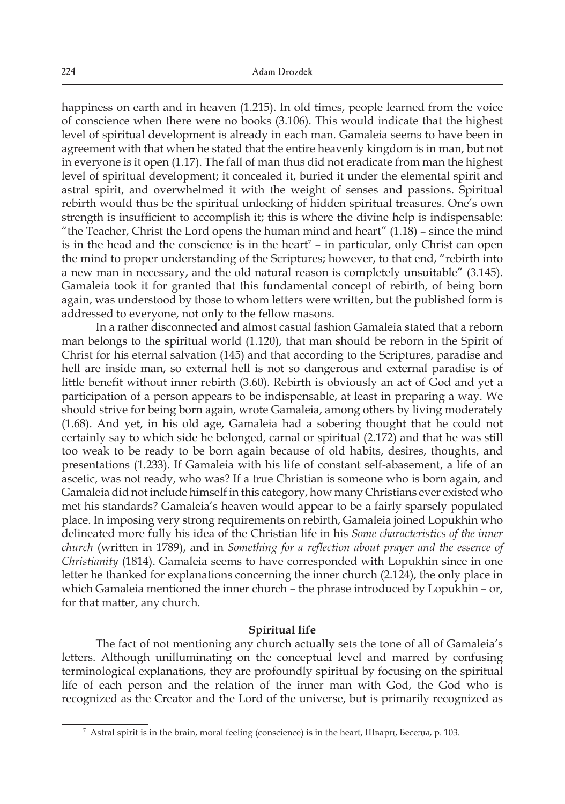happiness on earth and in heaven (1.215). In old times, people learned from the voice of conscience when there were no books (3.106). This would indicate that the highest level of spiritual development is already in each man. Gamaleia seems to have been in agreement with that when he stated that the entire heavenly kingdom is in man, but not in everyone is it open (1.17). The fall of man thus did not eradicate from man the highest level of spiritual development; it concealed it, buried it under the elemental spirit and astral spirit, and overwhelmed it with the weight of senses and passions. Spiritual rebirth would thus be the spiritual unlocking of hidden spiritual treasures. One's own strength is insufficient to accomplish it; this is where the divine help is indispensable: "the Teacher, Christ the Lord opens the human mind and heart"  $(1.18)$  – since the mind is in the head and the conscience is in the heart<sup>7</sup> – in particular, only Christ can open the mind to proper understanding of the Scriptures; however, to that end, "rebirth into a new man in necessary, and the old natural reason is completely unsuitable" (3.145). Gamaleia took it for granted that this fundamental concept of rebirth, of being born again, was understood by those to whom letters were written, but the published form is addressed to everyone, not only to the fellow masons.

In a rather disconnected and almost casual fashion Gamaleia stated that a reborn man belongs to the spiritual world (1.120), that man should be reborn in the Spirit of Christ for his eternal salvation (145) and that according to the Scriptures, paradise and hell are inside man, so external hell is not so dangerous and external paradise is of little benefit without inner rebirth (3.60). Rebirth is obviously an act of God and yet a participation of a person appears to be indispensable, at least in preparing a way. We should strive for being born again, wrote Gamaleia, among others by living moderately (1.68). And yet, in his old age, Gamaleia had a sobering thought that he could not certainly say to which side he belonged, carnal or spiritual (2.172) and that he was still too weak to be ready to be born again because of old habits, desires, thoughts, and presentations (1.233). If Gamaleia with his life of constant self-abasement, a life of an ascetic, was not ready, who was? If a true Christian is someone who is born again, and Gamaleia did not include himself in this category, how many Christians ever existed who met his standards? Gamaleia's heaven would appear to be a fairly sparsely populated place. In imposing very strong requirements on rebirth, Gamaleia joined Lopukhin who delineated more fully his idea of the Christian life in his *Some characteristics of the inner church* (written in 1789), and in *Something for a reflection about prayer and the essence of Christianity* (1814). Gamaleia seems to have corresponded with Lopukhin since in one letter he thanked for explanations concerning the inner church (2.124), the only place in which Gamaleia mentioned the inner church – the phrase introduced by Lopukhin – or, for that matter, any church.

## **Spiritual life**

The fact of not mentioning any church actually sets the tone of all of Gamaleia's letters. Although unilluminating on the conceptual level and marred by confusing terminological explanations, they are profoundly spiritual by focusing on the spiritual life of each person and the relation of the inner man with God, the God who is recognized as the Creator and the Lord of the universe, but is primarily recognized as

<sup>7</sup> Astral spirit is in the brain, moral feeling (conscience) is in the heart, Шварц, Беседы, p. 103.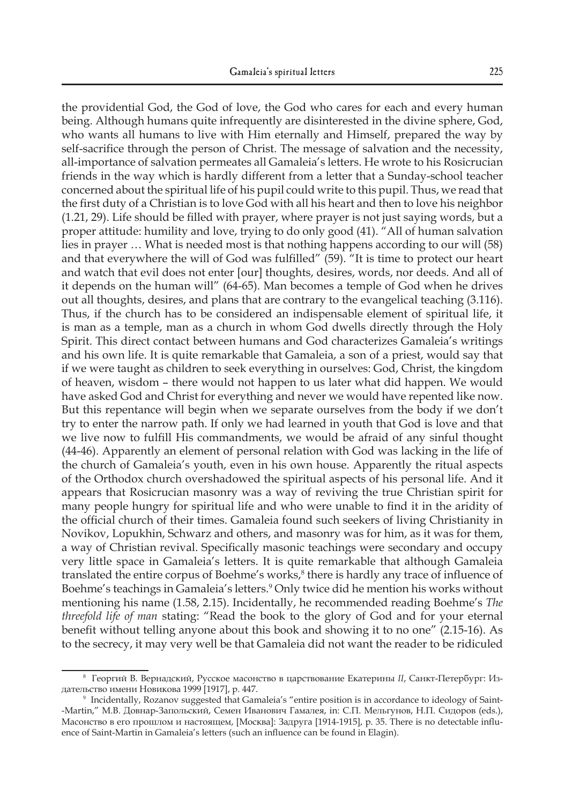the providential God, the God of love, the God who cares for each and every human being. Although humans quite infrequently are disinterested in the divine sphere, God, who wants all humans to live with Him eternally and Himself, prepared the way by self-sacrifice through the person of Christ. The message of salvation and the necessity, all-importance of salvation permeates all Gamaleia's letters. He wrote to his Rosicrucian friends in the way which is hardly different from a letter that a Sunday-school teacher concerned about the spiritual life of his pupil could write to this pupil. Thus, we read that the first duty of a Christian is to love God with all his heart and then to love his neighbor (1.21, 29). Life should be filled with prayer, where prayer is not just saying words, but a proper attitude: humility and love, trying to do only good (41). "All of human salvation lies in prayer … What is needed most is that nothing happens according to our will (58) and that everywhere the will of God was fulfilled" (59). "It is time to protect our heart and watch that evil does not enter [our] thoughts, desires, words, nor deeds. And all of it depends on the human will" (64-65). Man becomes a temple of God when he drives out all thoughts, desires, and plans that are contrary to the evangelical teaching (3.116). Thus, if the church has to be considered an indispensable element of spiritual life, it is man as a temple, man as a church in whom God dwells directly through the Holy Spirit. This direct contact between humans and God characterizes Gamaleia's writings and his own life. It is quite remarkable that Gamaleia, a son of a priest, would say that if we were taught as children to seek everything in ourselves: God, Christ, the kingdom of heaven, wisdom – there would not happen to us later what did happen. We would have asked God and Christ for everything and never we would have repented like now. But this repentance will begin when we separate ourselves from the body if we don't try to enter the narrow path. If only we had learned in youth that God is love and that we live now to fulfill His commandments, we would be afraid of any sinful thought (44-46). Apparently an element of personal relation with God was lacking in the life of the church of Gamaleia's youth, even in his own house. Apparently the ritual aspects of the Orthodox church overshadowed the spiritual aspects of his personal life. And it appears that Rosicrucian masonry was a way of reviving the true Christian spirit for many people hungry for spiritual life and who were unable to find it in the aridity of the official church of their times. Gamaleia found such seekers of living Christianity in Novikov, Lopukhin, Schwarz and others, and masonry was for him, as it was for them, a way of Christian revival. Specifically masonic teachings were secondary and occupy very little space in Gamaleia's letters. It is quite remarkable that although Gamaleia translated the entire corpus of Boehme's works, $\delta$  there is hardly any trace of influence of Boehme's teachings in Gamaleia's letters.9 Only twice did he mention his works without mentioning his name (1.58, 2.15). Incidentally, he recommended reading Boehme's *The threefold life of man* stating: "Read the book to the glory of God and for your eternal benefit without telling anyone about this book and showing it to no one" (2.15-16). As to the secrecy, it may very well be that Gamaleia did not want the reader to be ridiculed

<sup>8</sup> Георгий В. Вернадский, Русское масонство в царствование Екатерины *II*, Санкт-Петербург: Издательство имени Новикова 1999 [1917], p. 447.

<sup>9</sup> Incidentally, Rozanov suggested that Gamaleia's "entire position is in accordance to ideology of Saint- -Martin," М.В. Довнар-Запольский, Семен Иванович Гамалея, in: С.П. Мельгунов, Н.П. Сидоров (eds.), Масонство в его прошлом и настоящем, [Москва]: Задруга [1914-1915], p. 35. There is no detectable influence of Saint-Martin in Gamaleia's letters (such an influence can be found in Elagin).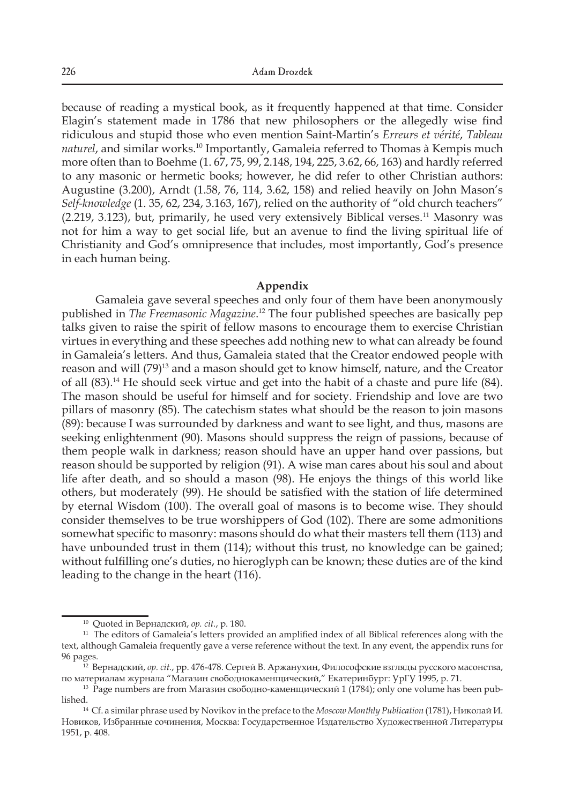because of reading a mystical book, as it frequently happened at that time. Consider Elagin's statement made in 1786 that new philosophers or the allegedly wise find ridiculous and stupid those who even mention Saint-Martin's *Erreurs et vérité*, *Tableau naturel*, and similar works.10 Importantly, Gamaleia referred to Thomas à Kempis much more often than to Boehme (1. 67, 75, 99, 2.148, 194, 225, 3.62, 66, 163) and hardly referred to any masonic or hermetic books; however, he did refer to other Christian authors: Augustine (3.200), Arndt (1.58, 76, 114, 3.62, 158) and relied heavily on John Mason's *Self-knowledge* (1. 35, 62, 234, 3.163, 167), relied on the authority of "old church teachers"  $(2.219, 3.123)$ , but, primarily, he used very extensively Biblical verses.<sup>11</sup> Masonry was not for him a way to get social life, but an avenue to find the living spiritual life of Christianity and God's omnipresence that includes, most importantly, God's presence in each human being.

## **Appendix**

Gamaleia gave several speeches and only four of them have been anonymously published in *The Freemasonic Magazine*. <sup>12</sup> The four published speeches are basically pep talks given to raise the spirit of fellow masons to encourage them to exercise Christian virtues in everything and these speeches add nothing new to what can already be found in Gamaleia's letters. And thus, Gamaleia stated that the Creator endowed people with reason and will (79)<sup>13</sup> and a mason should get to know himself, nature, and the Creator of all (83).14 He should seek virtue and get into the habit of a chaste and pure life (84). The mason should be useful for himself and for society. Friendship and love are two pillars of masonry (85). The catechism states what should be the reason to join masons (89): because I was surrounded by darkness and want to see light, and thus, masons are seeking enlightenment (90). Masons should suppress the reign of passions, because of them people walk in darkness; reason should have an upper hand over passions, but reason should be supported by religion (91). A wise man cares about his soul and about life after death, and so should a mason (98). He enjoys the things of this world like others, but moderately (99). He should be satisfied with the station of life determined by eternal Wisdom (100). The overall goal of masons is to become wise. They should consider themselves to be true worshippers of God (102). There are some admonitions somewhat specific to masonry: masons should do what their masters tell them (113) and have unbounded trust in them (114); without this trust, no knowledge can be gained; without fulfilling one's duties, no hieroglyph can be known; these duties are of the kind leading to the change in the heart (116).

<sup>10</sup> Quoted in Вернадский, *op. cit.*, p. 180.

<sup>&</sup>lt;sup>11</sup> The editors of Gamaleia's letters provided an amplified index of all Biblical references along with the text, although Gamaleia frequently gave a verse reference without the text. In any event, the appendix runs for 96 pages. 12 Вернадский, *op. cit.*, pp. 476-478. Сергей В. Аржанухин, Философские взгляды русского масонства,

по материалам журнала "Магазин свободнокаменщический," Екатеринбург: УрГУ 1995, p. 71.

<sup>13</sup> Page numbers are from Магазин свободно*-*каменщический 1 (1784); only one volume has been published.

<sup>14</sup> Cf. a similar phrase used by Novikov in the preface to the *Moscow Monthly Publication* (1781), Николай И. Новиков, Избранные сочинения, Москва: Государственное Издательство Художественной Литературы 1951, p. 408.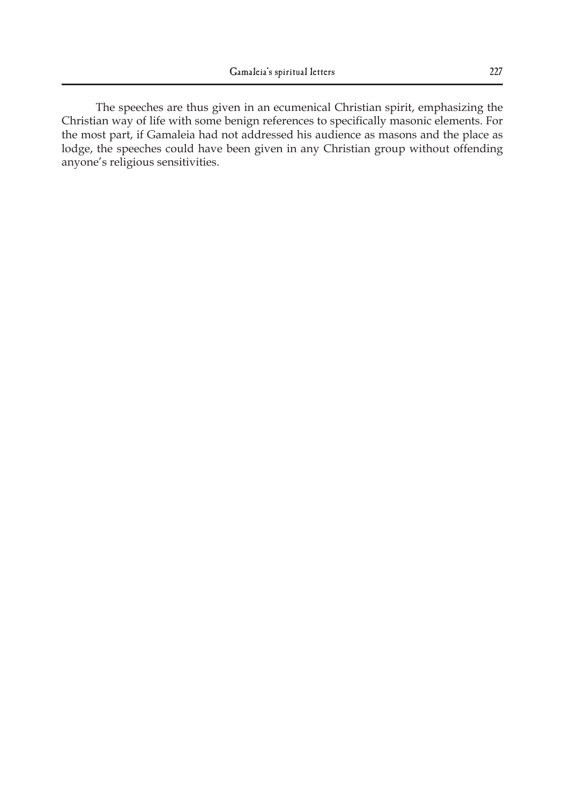The speeches are thus given in an ecumenical Christian spirit, emphasizing the Christian way of life with some benign references to specifically masonic elements. For the most part, if Gamaleia had not addressed his audience as masons and the place as lodge, the speeches could have been given in any Christian group without offending anyone's religious sensitivities.